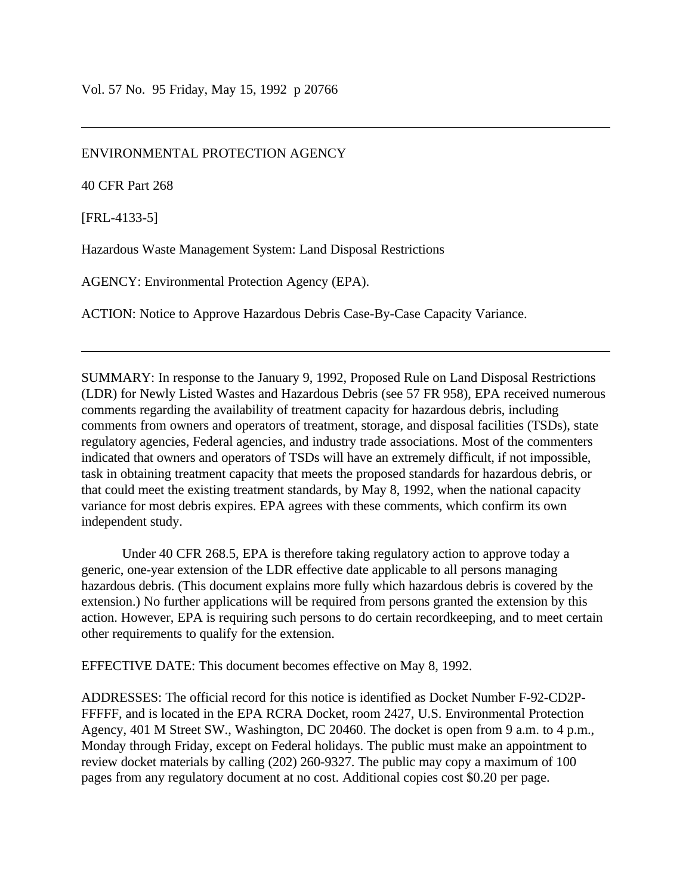## ENVIRONMENTAL PROTECTION AGENCY

40 CFR Part 268

[FRL-4133-5]

Hazardous Waste Management System: Land Disposal Restrictions

AGENCY: Environmental Protection Agency (EPA).

ACTION: Notice to Approve Hazardous Debris Case-By-Case Capacity Variance.

SUMMARY: In response to the January 9, 1992, Proposed Rule on Land Disposal Restrictions (LDR) for Newly Listed Wastes and Hazardous Debris (see 57 FR 958), EPA received numerous comments regarding the availability of treatment capacity for hazardous debris, including comments from owners and operators of treatment, storage, and disposal facilities (TSDs), state regulatory agencies, Federal agencies, and industry trade associations. Most of the commenters indicated that owners and operators of TSDs will have an extremely difficult, if not impossible, task in obtaining treatment capacity that meets the proposed standards for hazardous debris, or that could meet the existing treatment standards, by May 8, 1992, when the national capacity variance for most debris expires. EPA agrees with these comments, which confirm its own independent study.

Under 40 CFR 268.5, EPA is therefore taking regulatory action to approve today a generic, one-year extension of the LDR effective date applicable to all persons managing hazardous debris. (This document explains more fully which hazardous debris is covered by the extension.) No further applications will be required from persons granted the extension by this action. However, EPA is requiring such persons to do certain recordkeeping, and to meet certain other requirements to qualify for the extension.

EFFECTIVE DATE: This document becomes effective on May 8, 1992.

ADDRESSES: The official record for this notice is identified as Docket Number F-92-CD2P-FFFFF, and is located in the EPA RCRA Docket, room 2427, U.S. Environmental Protection Agency, 401 M Street SW., Washington, DC 20460. The docket is open from 9 a.m. to 4 p.m., Monday through Friday, except on Federal holidays. The public must make an appointment to review docket materials by calling (202) 260-9327. The public may copy a maximum of 100 pages from any regulatory document at no cost. Additional copies cost \$0.20 per page.